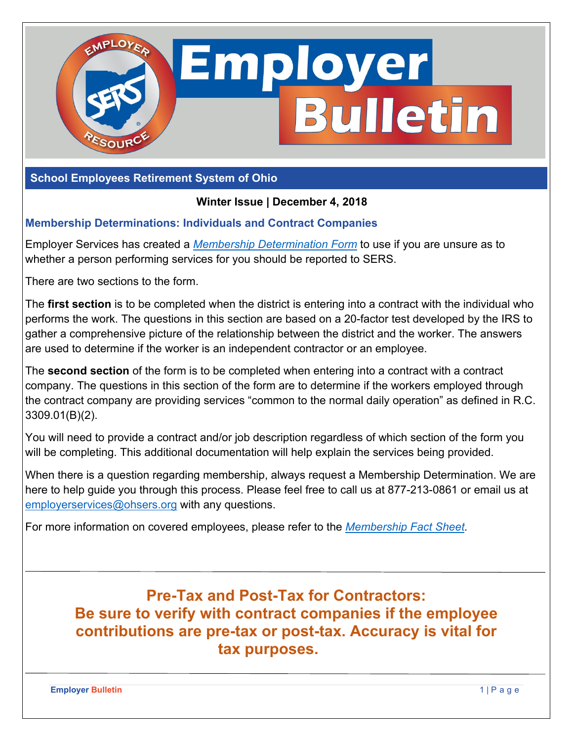

**School Employees Retirement System of Ohio** 

### **Winter Issue | December 4, 2018**

### **Membership Determinations: Individuals and Contract Companies**

Employer Services has created a *[Membership Determination Form](http://www.ohsers.org/wp-content/uploads/2018/05/Membership-Determination-Form.pdf)* to use if you are unsure as to whether a person performing services for you should be reported to SERS.

There are two sections to the form.

The **first section** is to be completed when the district is entering into a contract with the individual who performs the work. The questions in this section are based on a 20-factor test developed by the IRS to gather a comprehensive picture of the relationship between the district and the worker. The answers are used to determine if the worker is an independent contractor or an employee.

The **second section** of the form is to be completed when entering into a contract with a contract company. The questions in this section of the form are to determine if the workers employed through the contract company are providing services "common to the normal daily operation" as defined in R.C. 3309.01(B)(2).

You will need to provide a contract and/or job description regardless of which section of the form you will be completing. This additional documentation will help explain the services being provided.

When there is a question regarding membership, always request a Membership Determination. We are here to help guide you through this process. Please feel free to call us at 877-213-0861 or email us at employerservices@ohsers.org with any questions.

For more information on covered employees, please refer to the *[Membership Fact Sheet.](http://www.ohsers.org/wp-content/uploads/2018/04/EMP-7007-Membership-Fact-Sheet.pdf)* 

**Pre-Tax and Post-Tax for Contractors: Be sure to verify with contract companies if the employee contributions are pre-tax or post-tax. Accuracy is vital for tax purposes.** 

**Employer Bulletin** 1 | P a g e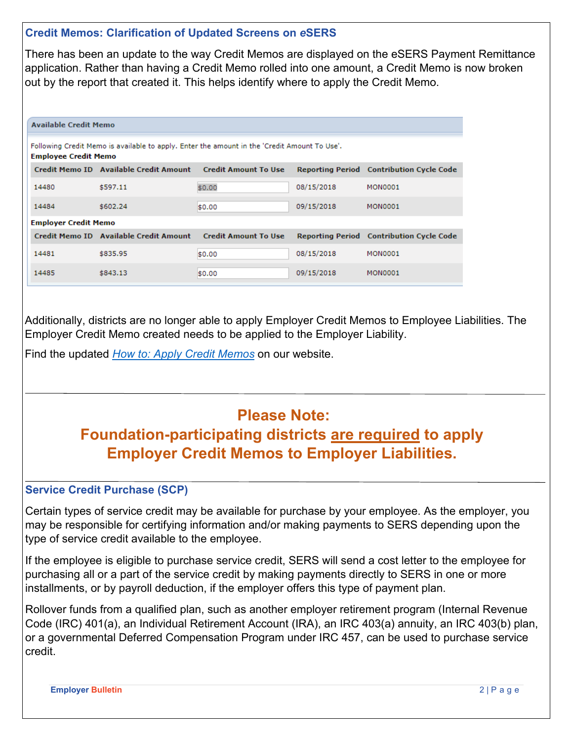### **Credit Memos: Clarification of Updated Screens on** *e***SERS**

There has been an update to the way Credit Memos are displayed on the eSERS Payment Remittance application. Rather than having a Credit Memo rolled into one amount, a Credit Memo is now broken out by the report that created it. This helps identify where to apply the Credit Memo.

| <b>Available Credit Memo</b>                                                                                                |                                        |                             |            |                                                 |
|-----------------------------------------------------------------------------------------------------------------------------|----------------------------------------|-----------------------------|------------|-------------------------------------------------|
| Following Credit Memo is available to apply. Enter the amount in the 'Credit Amount To Use'.<br><b>Employee Credit Memo</b> |                                        |                             |            |                                                 |
|                                                                                                                             | Credit Memo ID Available Credit Amount | <b>Credit Amount To Use</b> |            | <b>Reporting Period</b> Contribution Cycle Code |
| 14480                                                                                                                       | \$597.11                               | \$0.00                      | 08/15/2018 | <b>MON0001</b>                                  |
| 14484                                                                                                                       | \$602.24                               | \$0.00                      | 09/15/2018 | <b>MON0001</b>                                  |
| <b>Employer Credit Memo</b>                                                                                                 |                                        |                             |            |                                                 |
|                                                                                                                             | Credit Memo ID Available Credit Amount | <b>Credit Amount To Use</b> |            | <b>Reporting Period</b> Contribution Cycle Code |
| 14481                                                                                                                       | \$835.95                               | \$0.00                      | 08/15/2018 | <b>MON0001</b>                                  |
| 14485                                                                                                                       | \$843.13                               | \$0.00                      | 09/15/2018 | <b>MON0001</b>                                  |

Additionally, districts are no longer able to apply Employer Credit Memos to Employee Liabilities. The Employer Credit Memo created needs to be applied to the Employer Liability.

Find the updated *[How to: Apply Credit Memos](https://www.ohsers.org/wp-content/uploads/2018/04/EMP-7002-How-To-Apply-a-Credit-Memo.pdf)* on our website.

# **Please Note:**

**Foundation-participating districts are required to apply Employer Credit Memos to Employer Liabilities.** 

### **Service Credit Purchase (SCP)**

Certain types of service credit may be available for purchase by your employee. As the employer, you may be responsible for certifying information and/or making payments to SERS depending upon the type of service credit available to the employee.

If the employee is eligible to purchase service credit, SERS will send a cost letter to the employee for purchasing all or a part of the service credit by making payments directly to SERS in one or more installments, or by payroll deduction, if the employer offers this type of payment plan.

Rollover funds from a qualified plan, such as another employer retirement program (Internal Revenue Code (IRC) 401(a), an Individual Retirement Account (IRA), an IRC 403(a) annuity, an IRC 403(b) plan, or a governmental Deferred Compensation Program under IRC 457, can be used to purchase service credit.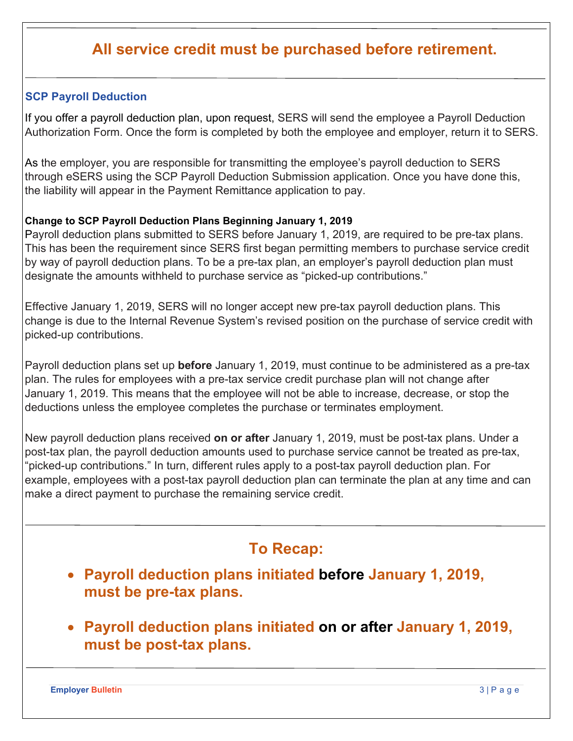# **All service credit must be purchased before retirement.**

### **SCP Payroll Deduction**

If you offer a payroll deduction plan, upon request, SERS will send the employee a Payroll Deduction Authorization Form. Once the form is completed by both the employee and employer, return it to SERS.

As the employer, you are responsible for transmitting the employee's payroll deduction to SERS through eSERS using the SCP Payroll Deduction Submission application. Once you have done this, the liability will appear in the Payment Remittance application to pay.

#### **Change to SCP Payroll Deduction Plans Beginning January 1, 2019**

Payroll deduction plans submitted to SERS before January 1, 2019, are required to be pre-tax plans. This has been the requirement since SERS first began permitting members to purchase service credit by way of payroll deduction plans. To be a pre-tax plan, an employer's payroll deduction plan must designate the amounts withheld to purchase service as "picked-up contributions."

Effective January 1, 2019, SERS will no longer accept new pre-tax payroll deduction plans. This change is due to the Internal Revenue System's revised position on the purchase of service credit with picked-up contributions.

Payroll deduction plans set up **before** January 1, 2019, must continue to be administered as a pre-tax plan. The rules for employees with a pre-tax service credit purchase plan will not change after January 1, 2019. This means that the employee will not be able to increase, decrease, or stop the deductions unless the employee completes the purchase or terminates employment.

New payroll deduction plans received **on or after** January 1, 2019, must be post-tax plans. Under a post-tax plan, the payroll deduction amounts used to purchase service cannot be treated as pre-tax, "picked-up contributions." In turn, different rules apply to a post-tax payroll deduction plan. For example, employees with a post-tax payroll deduction plan can terminate the plan at any time and can make a direct payment to purchase the remaining service credit.

# **To Recap:**

- **Payroll deduction plans initiated before January 1, 2019, must be pre-tax plans.**
- **Payroll deduction plans initiated on or after January 1, 2019, must be post-tax plans.**